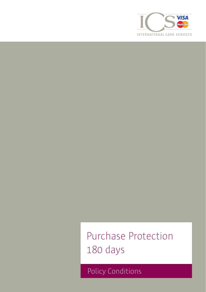

Purchase Protection 180 days

Policy Conditions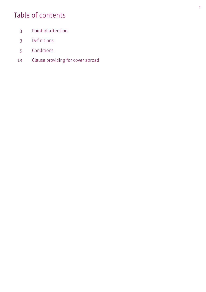# Table of contents

- Point of attention
- Definitions
- Conditions
- Clause providing for cover abroad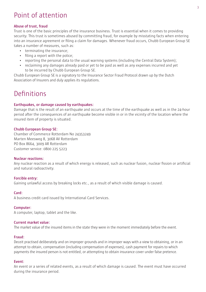# Point of attention

#### **Abuse of trust, fraud**

Trust is one of the basic principles of the insurance business. Trust is essential when it comes to providing security. This trust is sometimes abused by committing fraud, for example by misstating facts when entering into an insurance agreement or filing a claim for damages. Whenever fraud occurs, Chubb European Group SE takes a number of measures, such as:

- terminating the insurance:
- filing a report with the police;
- reporting the personal data to the usual warning systems (including the Central Data System);
- reclaiming any damages already paid or yet to be paid as well as any expenses incurred and yet to be incurred by Chubb European Group SE.

Chubb European Group SE is a signatory to the Insurance Sector Fraud Protocol drawn up by the Dutch Association of Insurers and duly applies its regulations.

# Definitions

#### **Earthquakes, or damage caused by earthquakes:**

Damage that is the result of an earthquake and occurs at the time of the earthquake as well as in the 24-hour period after the consequences of an earthquake become visible in or in the vicinity of the location where the insured item of property is situated.

#### **Chubb European Group SE:**

Chamber of Commerce Rotterdam No 24353249 Marten Meesweg 8, 3068 AV Rotterdam PO Box 8664, 3009 AR Rotterdam Customer service: 0800 225 5223

#### **Nuclear reactions:**

Any nuclear reaction as a result of which energy is released, such as nuclear fusion, nuclear fission or artificial and natural radioactivity.

#### **Forcible entry:**

Gaining unlawful access by breaking locks etc., as a result of which visible damage is caused.

#### **Card:**

A business credit card issued by International Card Services.

## **Computer:**

A computer, laptop, tablet and the like.

#### **Current market value:**

The market value of the insured items in the state they were in the moment immediately before the event.

## **Fraud:**

Deceit practised deliberately and on improper grounds and in improper ways with a view to obtaining, or in an attempt to obtain, compensation (including compensation of expenses), cash payment for repairs to which payments the insured person is not entitled, or attempting to obtain insurance cover under false pretence.

## **Event:**

An event or a series of related events, as a result of which damage is caused. The event must have occurred during the insurance period.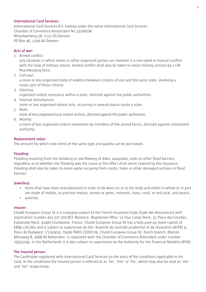#### **International Card Services:**

International Card Services B.V. trading under the name International Card Services Chamber of Commerce Amsterdam No 33200596 Wisselwerking 58, 1112 XS Diemen PO Box 46, 1100 AA Diemen.

#### **Acts of war:**

1. Armed conflict:

any situation in which states or other organised parties are involved in a one-sided or mutual conflict with the help of military means. Armed conflict shall also be taken to mean military actions by a UN Peacekeeping force.

2. Civil war:

a more or less organised state of violence between citizens of one and the same state, involving a major part of those citizens.

3. Uprising:

organised violent resistance within a state, directed against the public authorities.

4. Internal disturbances:

more or less organised violent acts, occurring in several places inside a state.

5. Riots:

more of less organised local violent actions, directed against the public authorities.

6. Mutiny:

a more of less organised violent movement by members of the armed forces, directed against constituted authority.

#### **Replacement value:**

The amount for which new items of the same type and quality can be purchased.

#### **Flooding:**

Flooding resulting from the breaking or overflowing of dikes, quaysides, locks or other flood barriers, regardless as to whether the flooding was the cause or the effect of an event covered by the insurance. Flooding shall also be taken to mean water escaping from cracks, holes or other damaged sections in flood barriers.

#### **Jewellery:**

- Items that have been manufactured in order to be worn on or to the body and either in whole or in part are made of metals, or precious metals, stones or gems, minerals, ivory, coral, or red coral, and pearls;
- watches.

#### **Insurer:**

Chubb European Group SE is a company subject to the French Insurance Code (Code des Assurances) with registration number 450 327 374 RCS Nanterre. Registered office: La Tour Carpe Diem, 31 Place des Corolles, Esplanade Nord, 92400 Courbevoie, France. Chubb European Group SE has a fully paid-up share capital of €896,176,662 and is subject to supervision by the 'Autorité de contrôle prudentiel et de résolution (ACPR) 4, Place de Budapest, CS 92459, 75436 PARIS CEDEX 09. Chubb European Group SE, Dutch branch, Marten Meesweg 8, 3068 AV Rotterdam, is registered with the Chamber of Commerce Rotterdam under number 24353249. In the Netherlands it is also subject to supervision by the Authority for the Financial Markets (AFM).

#### **The insured person:**

The Cardholder registered with International Card Services on the basis of the conditions applicable to his Card. In the conditions the insured person is referred to as 'he', 'him' or 'his', which may also be read as 'she' and 'her' respectively.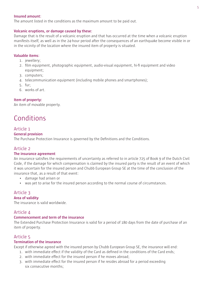#### **Insured amount:**

The amount listed in the conditions as the maximum amount to be paid out.

#### **Volcanic eruptions, or damage caused by these:**

Damage that is the result of a volcanic eruption and that has occurred at the time when a volcanic eruption manifests itself, as well as in the 24-hour period after the consequences of an earthquake become visible in or in the vicinity of the location where the insured item of property is situated.

#### **Valuable items:**

- 1. jewellery;
- 2. film equipment, photographic equipment, audio-visual equipment, hi-fi equipment and video equipment;
- 3. computers;
- 4. telecommunication equipment (including mobile phones and smartphones);
- 5. fur;
- 6. works of art.

#### **Item of property:**

An item of movable property.

# Conditions

#### Article 1

#### **General provision**

The Purchase Protection Insurance is governed by the Definitions and the Conditions.

#### Article 2

#### **The insurance agreement**

An insurance satisfies the requirements of uncertainty as referred to in article 725 of Book 9 of the Dutch Civil Code, if the damage for which compensation is claimed by the insured party is the result of an event of which it was uncertain for the insured person and Chubb European Group SE at the time of the conclusion of the insurance that, as a result of that event:

- damage had arisen or
- was yet to arise for the insured person according to the normal course of circumstances.

## Article 3

#### **Area of validity**

The insurance is valid worldwide.

#### Article 4

#### **Commencement and term of the insurance**

The Extended Purchase Protection Insurance is valid for a period of 180 days from the date of purchase of an item of property.

#### Article 5

#### **Termination of the insurance**

Except if otherwise agreed with the insured person by Chubb European Group SE, the insurance will end:

- 1. with immediate effect if the validity of the Card as defined in the conditions of the Card ends;
- 2. with immediate effect for the insured person if he moves abroad;
- 3. with immediate effect for the insured person if he resides abroad for a period exceeding six consecutive months: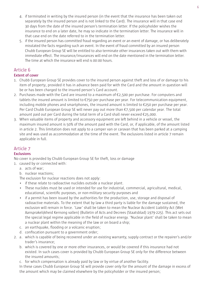- 4. if terminated in writing by the insured person (in the event that the insurance has been taken out separately by the insured person and is not linked to the Card). The insurance will in that case end 30 days from the date of the insured person's termination letter. If the policyholder wishes the insurance to end on a later date, he may so indicate in the termination letter. The insurance will in that case end on the date referred to in the termination letter.
- 5. if the insured person has committed fraud regarding an event or an event of damage, or has deliberately misstated the facts regarding such an event. In the event of fraud committed by an insured person Chubb European Group SE will be entitled to also terminate other insurances taken out with them with immediate effect. The insurance/insurances will end on the date mentioned in the termination letter. The time at which the insurance will end is 00:00 hours.

#### Article 6 **Extent of cover**

- 1. Chubb European Group SE provides cover to the insured person against theft and loss of or damage to his item of property, provided it has in advance been paid for with the Card and the amount in question will be or has been charged to the insured person's Card account.
- 2. Purchases made with the Card are insured to a maximum of €2,500 per purchase. For computers and tablets the insured amount is limited to €750 per purchase per year. For telecommunication equipment, including mobile phones and smartphones, the insured amount is limited to €250 per purchase per year. Per Card Chubb European Group SE will never pay out more than €7,500 per calendar year. The total amount paid out per Card during the total term of a Card shall never exceed €25,000.
- 3. When valuable items of property and accessory equipment are left behind in a vehicle or vessel, the maximum insured amount is 50% of the amount paid with the Card, or, if applicable, of the amount listed in article 2. This limitation does not apply to a camper van or caravan that has been parked at a camping site and was used as accommodation at the time of the event. The exclusions listed in article 7 remain applicable in full.

## Article 7

## **Exclusions**

No cover is provided by Chubb European Group SE for theft, loss or damage

- 1. caused by or connected with:
	- a. acts of war;
	- b. nuclear reactions;

The exclusion for nuclear reactions does not apply:

- if these relate to radioactive nuclides outside a nuclear plant.
- These nuclides must be used or intended for use for industrial, commercial, agricultural, medical, educational, scientific purposes, or non-military security purposes and
- if a permit has been issued by the authorities for the production, use, storage and disposal of radioactive materials. To the extent that by law a third party is liable for the damage sustained, the exclusion will remain in force. 'Law' shall be taken to mean the Nuclear Accident Liability Act (Wet Aansprakelijkheid Kernong vallen) (Bulletin of Acts and Decrees (Staatsblad) 1979-225). This act sets out the special legal regime applicable in the field of nuclear energy. 'Nuclear plant' shall be taken to mean a nuclear plant within the meaning of the law or on board a ship;
- c. an earthquake, flooding or a volcanic eruption;
- d. confiscation pursuant to a government order;
- 2. a. which is capable of being recovered under an existing warranty, supply contract or the repairer's and/or trader's insurance;
	- b. which is covered by one or more other insurances, or would be covered if this insurance had not existed. In such cases cover is provided by Chubb European Group SE only for the difference between the insured amounts;
	- c. for which compensation is already paid by law or by virtue of another facility.

In these cases Chubb European Group SE will provide cover only for the amount of the damage in excess of the amount which may be claimed elsewhere by the policyholder or the insured person;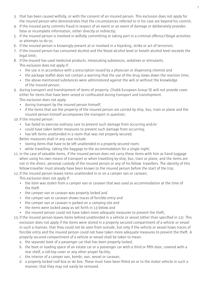- 3. that has been caused wilfully, or with the consent of an insured person. This exclusion does not apply for the insured person who demonstrates that the circumstances referred to in his case are beyond his control;
- 4. if the insured party commits fraud in respect of an event or an event of damage or deliberately provides false or incomplete information, either directly or indirectly;
- 5. if the insured person is involved in wilfully committing or taking part in a criminal offence/illegal activities or attempts to do so;
- 6. if the insured person is knowingly present at or involved in a hijacking, strike or act of terrorism;
- 7. if the insured person has consumed alcohol and the blood alcohol level or breath alcohol level exceeds the legal limit;
- 8. if the insured has used medicinal products, intoxicating substances, sedatives or stimulants. This exclusion does not apply if:
	- the use is in accordance with a prescription issued by a physician or dispensing chemist and
	- the package leaflet does not contain a warning that the use of the drug slows down the reaction time;
	- the above-mentioned substances were administered against the will or without the knowledge of the insured person;
- 9. during transport and transhipment of items of property. Chubb European Group SE will not provide cover either for items that have been seized or confiscated during transport and transhipment. This exclusion does not apply
	- during transport by the insured person himself;
	- if the items that are the property of the insured person are carried by ship, bus, train or plane and the insured person himself accompanies the transport in question;

#### 10.if the insured person:

- has failed to exercise ordinary care to prevent such damage from occurring and/or
- could have taken better measures to prevent such damage from occurring;
- has left items unattended in a room that was not properly secured.

Better measures shall in any case include:

- storing items that have to be left unattended in a properly secured room;
- while travelling: taking the baggage to the accommodation for a single night;
- 11.in the case of valuable items, if the insured person does not carry these items with him as hand luggage when using his own means of transport or when travelling by ship, bus, train or plane, and the items are not in the direct, personal custody of the insured person or any of his fellow- travellers. The identity of this fellow-traveller must already have been known to the insured person before the start of the trip;

12.if the insured person leaves items unattended in or on a camper van or caravan; This exclusion does not apply if:

- the item was stolen from a camper van or caravan that was used as accommodation at the time of the theft
- the camper van or caravan was properly locked and
- the camper van or caravan shows traces of forcible entry and
- the camper van or caravan is parked on a camping site and
- the items were locked away as set forth in 13 below and
- the insured person could not have taken more adequate measures to prevent the theft;
- 13.if the insured person leaves items behind unattended in a vehicle or vessel (other than specified in 12). This exclusion does not apply if the items were stored in a properly secured compartment of a vehicle or vessel in such a manner, that they could not be seen from outside, but only if the vehicle or vessel hows traces of forcible entry and the insured person could not have taken more adequate measures to prevent the theft. A properly secured compartment of a vehicle or vessel shall be taken to mean:
	- a. the separate boot of a passenger car that has been properly locked;
	- b. the boot or loading space of an estate car or a passenger car with a third or fifth door, covered with a rear shelf, a roll-top cover or any other proper facility;
	- c. the interior of a camper van, kombi, van, vessel or caravan;
	- d. a properly locked roof box or ski box. These must have been fitted on or to the motor vehicle in such a manner, that they may not easily be removed.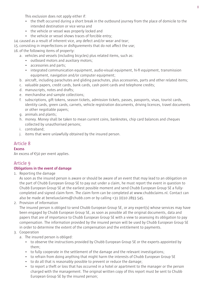This exclusion does not apply either if:

- the theft occurred during a short break in the outbound journey from the place of domicile to the intended destination or vice versa and
- the vehicle or vessel was properly locked and
- the vehicle or vessel shows traces of forcible entry;
- 14. caused as a result of inherent vice, any defect and/or wear and tear;

15. consisting in imperfections or disfigurements that do not affect the use;

16.of the following items of property:

- a. vehicles and vessels (including bicycles) plus related items, such as:
	- outboard motors and auxiliary motors;
	- accessories and parts;
	- integrated communication equipment, audio-visual equipment, hi-fi equipment, transmission equipment, navigation and/or computer equipment;
- b. aircraft, including parachutes and gliding parachutes, plus accessories, parts and other related items;
- c. valuable papers, credit cards, bank cards, cash point cards and telephone credits;
- d. manuscripts, notes and drafts;
- e. merchandise and sample collections;
- f. subscriptions, gift tokens, season tickets, admission tickets, passes, passports, visas, tourist cards, identity cards, green cards, carnets, vehicle registration documents, driving licences, travel documents or other negotiable papers;
- g. animals and plants;
- h. money. Money shall be taken to mean current coins, banknotes, chip card balances and cheques collected by unauthorised persons;
- i. contraband;
- j. items that were unlawfully obtained by the insured person.

## Article 8

## **Excess**

An excess of €50 per event applies.

## Article 9

## **Obligations in the event of damage**

1. Reporting the damage

As soon as the insured person is aware or should be aware of an event that may lead to an obligation on the part of Chubb European Group SE to pay out under a claim, he must report the event in question to Chubb European Group SE at the earliest possible moment and send Chubb European Group SE a fullycompleted and signed claim form. The claim form can be completed at www.chubbclaims.nl. Contact can also be made at beneluxclaims@chubb.com or by calling +31 (0)10 2893 545.

2. Provision of information

The insured person is obliged to send Chubb European Group SE, or any expert(s) whose services may have been engaged by Chubb European Group SE, as soon as possible all the original documents, data and papers that are of importance to Chubb European Group SE with a view to assessing its obligation to pay compensation. The information provided by the insured person will be used by Chubb European Group SE in order to determine the extent of the compensation and the entitlement to payments.

- 3. Cooperation
	- a. The insured person is obliged:
		- to observe the instructions provided by Chubb European Group SE or the experts appointed by them;
		- to fully cooperate in the settlement of the damage and the relevant investigations;
		- to refrain from doing anything that might harm the interests of Chubb European Group SE
		- to do all that is reasonably possible to prevent or reduce the damage;
		- to report a theft or loss that has occurred in a hotel or apartment to the manager or the person charged with the management. The original written copy of this report must be sent to Chubb European Group SE by the insured person;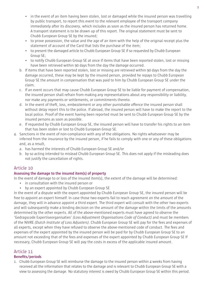- in the event of an item having been stolen, lost or damaged while the insured person was travelling by public transport, to report this event to the relevant employee of the transport company immediately after its discovery, which includes as soon as the insured person has returned home. A transport statement is to be drawn up of this report. The original statement must be sent to Chubb European Group SE by the insured;
- to prove possession, the value and the age of an item with the help of the original receipt plus the statement of account of the Card that lists the purchase of the item;
- to present the damaged article to Chubb European Group SE if so requested by Chubb European Group SE;
- to notify Chubb European Group SE at once if items that have been reported stolen, lost or missing have been retrieved within 90 days from the day the damage occurred.
- b. If items that have been reported stolen, lost or missing are retrieved within 90 days from the day the damage occurred, these may be kept by the insured person, provided he repays to Chubb European Group SE the amount in compensation that was paid to him by Chubb European Group SE under the claim.
- c. If an event occurs that may cause Chubb European Group SE to be liable for payment of compensation, the insured person shall refrain from making any representations about any responsibility or liability, nor make any payments or settlements, or commitments thereto.
- d. In the event of theft, loss, embezzlement or any other punishable offence the insured person shall without delay report this to the police. If abroad, the insured person will have to make the report to the local police. Proof of the event having been reported must be sent to Chubb European Group SE by the insured persons as soon as possible.
- e. If requested by Chubb European Group SE, the insured person will have to transfer his rights to an item that has been stolen or lost to Chubb European Group SE.
- 4. Sanctions in the event of non-compliance with any of the obligations. No rights whatsoever may be inferred from the insurance by the insured person, if he fails to comply with one or any of these obligations and, as a result,
	- a. has harmed the interests of Chubb European Group SE and/or
	- b. by so acting intended to mislead Chubb European Group SE. This does not apply if the misleading does not justify the cancellation of rights.

## Article 10

## **Assessing the damage to the insured item(s) of property**

In the event of damage to or loss of the insured item(s), the extent of the damage will be determined:

- in consultation with the insured person or
- by an expert appointed by Chubb European Group SE

In the event of a dispute with the expert appointed by Chubb European Group SE, the insured person will be free to appoint an expert himself. In case those two experts fail to reach agreement on the amount of the damage, they will in advance appoint a third expert. The third expert will consult with the other two experts and will subsequently make a binding decision on the amount of the damage within the limits of the amounts determined by the other experts. All of the above-mentioned experts must have agreed to observe the 'Gedragscode Expertiseorganisaties' *(Loss Adjustment Organisations Code of Conduct)* and must be members of the NIVRE *(Dutch Institute of Loss Adjusters)*. Chubb European Group SE will pay for the fees and expenses of all experts, except when they have refused to observe the above-mentioned code of conduct. The fees and expenses of the expert appointed by the insured person will be paid for by Chubb European Group SE to an amount not exceeding that of the fees and expenses of the expert appointed by Chubb European Group SE If necessary, Chubb European Group SE will pay the costs in excess of the applicable insured amount.

## Article 11

## **Benefits/periods**

1. Chubb European Group SE will reimburse the damage to the insured person within 4 weeks from having received all the information that relates to the damage and is relevant to Chubb European Group SE with a view to assessing the damage. No statutory interest is owed by Chubb European Group SE within this period.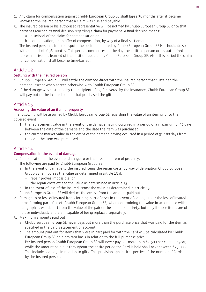- 2. Any claim for compensation against Chubb European Group SE shall lapse 36 months after it became known to the insured person that a claim was due and payable.
- 3. The insured person or his authorised representative will be notified by Chubb European Group SE once that party has reached its final decision regarding a claim for payment. A final decision means:
	- a. dismissal of the claim for compensation or
	- b. compensation, or an offer of compensation, by way of a final settlement.

The insured person is free to dispute the position adopted by Chubb European Group SE He should do so within a period of 36 months. This period commences on the day the entitled person or his authorized representative has learned of the position adopted by Chubb European Group SE. After this period the claim for compensation shall become time-barred.

## Article 12

#### **Settling with the insured person**

- 1. Chubb European Group SE will settle the damage direct with the insured person that sustained the damage, except when agreed otherwise with Chubb European Group SE;
- 2. If the damage was sustained by the recipient of a gift covered by the insurance, Chubb European Group SE will pay out to the insured person that purchased the gift.

## Article 13

#### **Assessing the value of an item of property**

The following will be assumed by Chubb European Group SE regarding the value of an item prior to the covered event:

- 1. the replacement value in the event of the damage having occurred in a period of a maximum of 90 days between the date of the damage and the date the item was purchased;
- 2. the current market value in the event of the damage having occurred in a period of 91-180 days from the date the item was purchased.

## Article 14

## **Compensation in the event of damage**

- 1. Compensation in the event of damage to or the loss of an item of property: The following are paid by Chubb European Group SE:
	- a. In the event of damage to the insured items the repair costs. By way of derogation Chubb European Group SE reimburses the value as determined in article 13 if:
		- repair proves impossible, or
		- the repair costs exceed the value as determined in article 13;

b. In the event of loss of the insured items: the value as determined in article 13.

Chubb European Group SE will deduct the excess from the amount paid out.

- 2. Damage to or loss of insured items forming part of a set In the event of damage to or the loss of insured items forming part of a set, Chubb European Group SE, when determining the value in accordance with paragraph 1, will depart from the value of the pair or the set in its entirety, but only if those items are of no use individually and are incapable of being replaced separately.
- 3. Maximum amounts paid out.
	- a. Chubb European Group SE never pays out more than the purchase price that was paid for the item as specified in the Card's statement of account.
	- b. The amount paid out for items that were in part paid for with the Card will be calculated by Chubb European Group SE on a pro rata basis in relation to the full purchase price.
	- c. Per insured person Chubb European Group SE will never pay out more than €7,500 per calendar year, while the amount paid out throughout the entire period the Card is held shall never exceed  $\epsilon$ 25,000. This includes damage in relation to gifts. This provision applies irrespective of the number of Cards held by the insured person.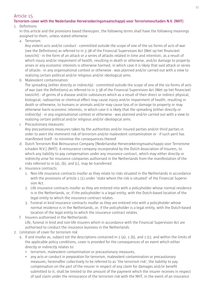## Article 15

## **Terrorism cover with the Nederlandse Herverzekeringsmaatschappij voor Terrorismeschaden N.V. (NHT)**

## 1. Definitions

In this article and the provisions based thereupon, the following terms shall have the following meanings assigned to them, unless stated otherwise:

a. Terrorism:

Any violent acts and/or conduct - committed outside the scope of one of the six forms of acts of war (see the Definitions) as referred to in 3:38 of the Financial Supervision Act (Wet op het financieel toezicht) - in the form of an attack or a series of attacks related in time and intention, as a result of which injury and/or impairment of health, resulting in death or otherwise, and/or damage to property arises or any economic interests is otherwise harmed, in which case it is likely that said attack or series of attacks - in any organisational context or otherwise - was planned and/or carried out with a view to realizing certain political and/or religious and/or ideological aims.

b. Malevolent contamination:

The spreading (either directly or indirectly) - committed outside the scope of one of the six forms of acts of war (see the Definitions) as referred to in 3:38 of the Financial Supervision Act (Wet op het financieel toezicht) - of germs of a disease and/or substances which as a result of their direct or indirect physical, biological, radioactive or chemical effect may cause injury and/or impairment of health, resulting in death or otherwise, to humans or animals and/or may cause loss of or damage to property or may otherwise harm economic interests, in which case it is likely that the spreading (either directly or indirectly) - in any organisational context or otherwise - was planned and/or carried out with a view to realizing certain political and/or religious and/or ideological aims.

c. Precautionary measures:

Any precautionary measures taken by the authorities and/or insured parties and/or third parties in order to avert the imminent risk of terrorism and/or malevolent contamination or - if such peril has manifested itself - to minimise the consequences thereof.

- d. Dutch Terrorism Risk Reinsurance Company [Nederlandse Herverzekeringmaatschappij voor Terrorisme schaden N.V.] (NHT): A reinsurance company incorporated by the Dutch Association of Insurers, to which any liability to pay compensation under any insurance contract, which may either directly or indirectly arise for insurance companies authorised in the Netherlands from the manifestation of the risks referred to in (a), (b), and (c), may be transferred.
- e. Insurance contracts:
	- 1. Non-life insurance contracts insofar as they relate to risks situated in the Netherlands in accordance with the provisions of article 1 (1) under 'state where the risk is situated' of the Financial Supervision Act.
	- 2. Life insurance contracts insofar as they are entered into with a policyholder whose normal residence is in the Netherlands, or, if the policyholder is a legal entity, with the Dutch-based location of the legal entity to which the insurance contract relates.
	- 3. Funeral in kind insurance contracts insofar as they are entered into with a policyholder whose normal residence is in the Netherlands, or, if the policyholder is a legal entity, with the Dutch-based location of the legal entity to which the insurance contract relates.
- f. Insurers authorised in the Netherlands: Life, funeral in kind and non-life insurers which in accordance with the Financial Supervision Act are authorised to conduct the insurance business in the Netherlands.
- 2. Limitation of cover for terrorism risk:
	- a. If and insofar as, subject tot the descriptions contained in 1 (a), 1 (b), and 1 (c), and within the limits of the applicable policy conditions, cover is provided for the consequences of an event which either directly or indirectly relates to:
		- terrorism, malevolent contamination or precautionary measures,
		- any acts or conduct in preparation for terrorism, malevolent contamination or precautionary measures, hereinafter collectively to be referred to as 'the terrorism risk', the liability to pay compensation on the part of the insurer in respect of any claim for damages and/or benefit submitted to it, shall be limited to the amount of the payment which the insurer receives in respect of said claim under the reinsurance of the terrorism risk with the NHT, in the event of an insurance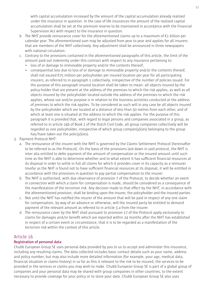with capital accumulation increased by the amount of the capital accumulation already realized under the insurance in question. In the case of life insurances the amount of the realized capital accumulation shall be set at the premium reserve to be maintained in accordance with the Financial Supervision Act with respect to the insurance in question.

- b. The NHT provide reinsurance cover for the aforementioned claims up to a maximum of €1 billion per calendar year. The aforementioned sum may be adjusted from year to year and applies for all insurers that are members of the NHT collectively. Any adjustment shall be announced in three newspapers with national circulation.
- c. Contrary to the provisions contained in the aforementioned paragraphs of this article, the limit of the amount paid out indemnity under this contract with respect to any insurance pertaining to:
	- loss of or damage to immovable property and/or the contents thereof;
	- consequential loss due to loss of or damage to immovable property and/or the contents thereof. shall not exceed €75 million per policyholder per insured location per year for all participating insurers, as referred to in paragraph 1 collectively, irrespective of the number of policies issued. For the purpose of this paragraph insured location shall be taken to mean: all objects insured by the policy-holder that are present at the address of the premises to which the risk applies, as well as all objects insured by the policyholder located outside the address of the premises to which the risk applies, whose use and/or purpose is in relation to the business activities conducted at the address of premises to which the risk applies. To be considered as such will in any case be all objects insured by the policyholder which are located at a distance of less than 50 metres from each other, and of which at least one is situated at the address to which the risk applies. For the purpose of this paragraph it is provided that, with regard to legal persons and companies associated in a group, as referred to in article 24b of Book 2 of the Dutch Civil Code, all group companies collectively will be regarded as one policyholder, irrespective of which group compan(y)(ies) belonging to the group has/have taken out the polic(y)(ies).
- 3. Payment Protocol NHT:
	- a. The reinsurance of the insurer with the NHT is governed by the Claims Settlement Protocol (hereinafter to be referred to as the Protocol). On the basis of the provisions laid down in said protocol, the NHT is inter alia entitled to defer payment of the amount of compensation or the insured amount until such time as the NHT is able to determine whether and to what extent it has sufficient financial resources at its disposal in order to settle in full all claims for which it provides cover in its capacity as a reinsurer. Insofar as the NHT is found not to have sufficient financial resources at its disposal, it will be entitled in accordance with the provisions in question to pay partial compensation to the insurer.
	- b. The NHT is authorised, with due observance of provision 7 of the Protocol, to decide whether an event in connection with which a claim for compensation is made, should be considered as a consequence of the manifestation of the terrorism risk. Any decision made to that effect by the NHT, in accordance with the aforementioned provision, shall be binding upon the insurer, the policyholder and the insured parties.
	- c. Not until the NHT has notified the insurer of the amount that will be paid in respect of any one claim for compensation, by way of an advance or otherwise, will the insured party be entitled to demand payment of the relevant amount as referred to in article 3.a from the insurer.
	- d. The reinsurance cover by the NHT shall pursuant to provision 17 of the Protocol apply exclusively to claims for damages and/or benefit which are reported within 24 months after the NHT has established in respect of a certain event or circumstance, that it is to be regarded as a manifestation of the terrorism risk within the context of this article.

## Article 16

## **Registration of personal data**

Chubb European Group SE uses personal data provided by you to us to accept and administer this insurance, including any resulting claims. The data collected includes basic contact details such as your name, address and policy number, but may also include more detailed information (for example, your age, medical data, financial situation or claims history) in so far as this is relevant to the risk to be insured, the services to be provided or the services or claims you may wish to make. Chubb European Group SE is part of a global group of companies and your personal data may be shared with group companies in other countries, to the extent necessary to provide coverage for your policy or to store your data. Chubb European Group SE also uses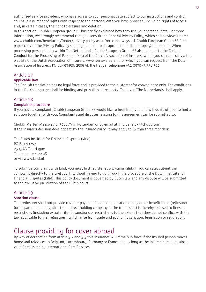authorised service providers, who have access to your personal data subject to our instructions and control. You have a number of rights with respect to the personal data you have provided, including rights of access and, in certain cases, the right to erasure and deletion.

In this section, Chubb European group SE has briefly explained how they use your personal data. For more information, we strongly recommend that you consult the General Privacy Policy, which can be viewed here: www.chubb.com/benelux-nl/footer/privacy-policy.aspx. You can always ask Chubb European Group SE for a paper copy of the Privacy Policy by sending an email to dataprotectionoffice.europe@chubb.com. When processing personal data within The Netherlands, Chubb European Group SE also adheres to the Code of Conduct for the Processing of Personal Data of the Dutch Association of Insurers, which you can consult via the website of the Dutch Association of Insurers, www.verzekeraars.nl, or which you can request from the Dutch Association of Insurers, PO Box 93450, 2509 AL The Hague, telephone +31 (0)70 - 3 338 500.

# Article 17

**Applicable law**

The English translation has no legal force and is provided to the customer for convenience only. The conditions in the Dutch language shall be binding and prevail in all respects. The law of The Netherlands shall apply.

## Article 18

#### **Complaints procedure**

If you have a complaint, Chubb European Group SE would like to hear from you and will do its utmost to find a solution together with you. Complaints and disputes relating to this agreement can be submitted to:

Chubb, Marten Meesweg 8, 3068 AV in Rotterdam or by email at info.benelux@chubb.com. If the insurer's decision does not satisfy the insured party, it may apply to (within three months):

The Dutch Institute for Financial Disputes (Kifid) PO Box 93257 2509 AG The Hague Tel: 0900 - 355 22 48 or via www.kifid.nl

To submit a complaint with Kifid, you must first register at www.mijnkifid.nl. You can also submit the complaint directly to the civil court, without having to go through the procedure of the Dutch Institute for Financial Disputes (Kifid). This policy document is governed by Dutch law and any dispute will be submitted to the exclusive jurisdiction of the Dutch court.

## Article 19

## **Sanction clause**

The (re)insurer shall not provide cover or pay benefits or compensation or any other benefit if the (re)insurer (or its parent company, direct or indirect holding company of the (re)insurer) is thereby exposed to fines or restrictions (including extraterritorial sanctions or restrictions to the extent that they do not conflict with the law applicable to the (re)insurer), which arise from trade and economic sanction, legislation or regulation.

# Clause providing for cover abroad

By way of derogation from article 5.2 and 5.3 this insurance will remain in force if the insured person moves home and relocates to Belgium, Luxembourg, Germany or France and as long as the insured person retains a valid Card issued by International Card Services.